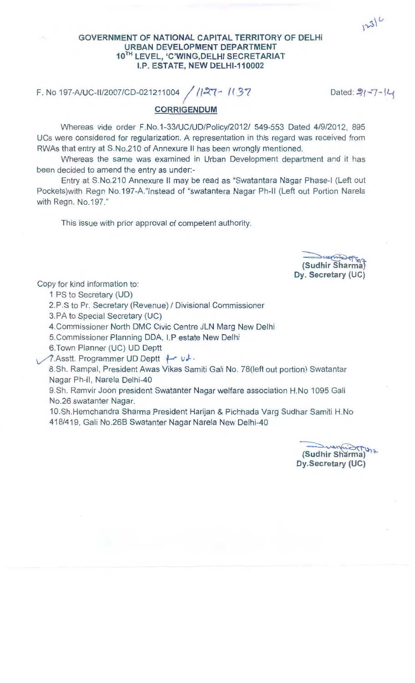$1231$ 

## GOVERNMENT OF NATIONAL CAPITAL TERRITORY OF DELHI URBAN DEVELOPMENT DEPARTMENT 10TH LEVEL, 'C'WING,DELHI SECRETARIAT I.P. ESTATE, NEW DELHI-110002

F. No 197-A/UC-II/2007/CD-021211004 / 127-1137

Dated:  $3 - 7 - 4$ 

CORRIGENDUM

Whereas vide order F.No.1 -33/UC/UD/Policy/2012/ 549-553 Dated 4/9/2012, 895 UCs were considered for regularization. A representation in this regard was received from RWAs that entry at S.No.210 of Annexure II has been wrongly mentioned.

Whereas the same was examined in Urban Development department and it has been decided to amend the entry as under:-

Entry at S.No.210 Annexure II may be read as "Swatantara Nagar Phase-I (Left out Pockets)with Regn No.197-A."Instead of "swatantera Nagar Ph-Il (Left out Portion Narela with Regn. No.197."

This issue with prior approval of competent authority.



Copy for kind information to:

1 PS to Secretary (UD)

2.P.S to Pr. Secretary (Revenue) / Divisional Commissioner

3.PA to Special Secretary (UC)

4.Commissioner North DMC Civic Centre JLN Marg New Delhi

5.Commissioner Planning DDA, I.P estate New Delhi

6.Town Planner (UC) UD Deptt

1.Asstt. Programmer UD Deptt **f-r**  $u \cdot$ 

8.Sh. Rampal, President Awas Vikas Samiti Gali No. 78(1eft out portion) Swatantar Nagar Ph-11, Narela Delhi-40

9.Sh. Ramvir Joon president Swatanter Nagar welfare association H.No 1095 Gali No.26 swatanter Nagar.

10.Sh.Hemchandra Sharma President Harijan & Pichhada Varg Sudhar Samiti H.No 418/419, Gali No.26B Swatanter Nagar Narela New Delhi-40

Gudhir Sharma) Dy.Secretary (UC)